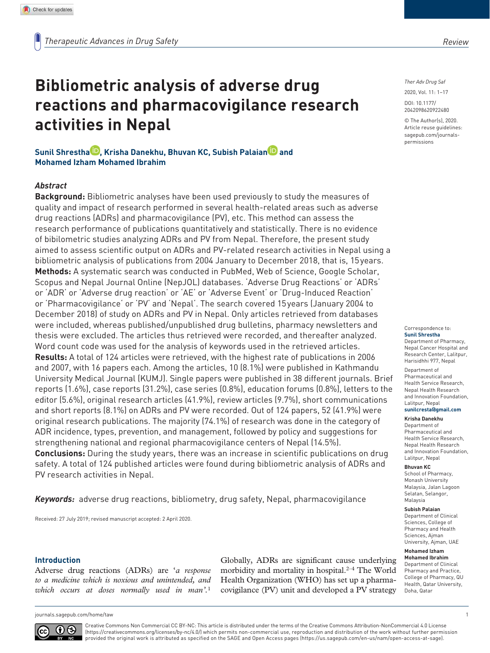*Ther Adv Drug Saf*

DOI: 10.1177/ 2020, Vol. 11: 1–17

© The Author(s), 2020. Article reuse guidelines: sagepub.com/journalspermissions

2042098620922480

Correspondence to: **Sunil Shrestha** Department of Pharmacy,

Nepal Cancer Hospital and Research Center, Lalitpur, Harisidhhi 977, Nepal Department of Pharmaceutical and Health Service Research,

Nepal Health Research and Innovation Foundation, Lalitpur, Nepal **sunilcresta@gmail.com**

#### **Krisha Danekhu**

Department of Pharmaceutical and Health Service Research, Nepal Health Research and Innovation Foundation, Lalitpur, Nepal

#### **Bhuvan KC**

School of Pharmacy, Monash University Malaysia, Jalan Lagoon Selatan, Selangor, Malaysia

#### **Subish Palaian**

Department of Clinical Sciences, College of Pharmacy and Health Sciences, Ajman University, Ajman, UAE

**Mohamed Izham** 

**Mohamed Ibrahim** Department of Clinical Pharmacy and Practice, College of Pharmacy, QU Health, Qatar University, Doha, Qatar

# **activities in Nepal Sunil Shrestha<sup>ID</sup>, Krisha Danekhu, Bhuvan KC, Subish Palaian<sup>D</sup> and**

**Bibliometric analysis of adverse drug** 

**reactions and pharmacovigilance research** 

**Mohamed Izham Mohamed Ibrahim**

#### *Abstract*

**Background:** Bibliometric analyses have been used previously to study the measures of quality and impact of research performed in several health-related areas such as adverse drug reactions (ADRs) and pharmacovigilance (PV), etc. This method can assess the research performance of publications quantitatively and statistically. There is no evidence of bibilometric studies analyzing ADRs and PV from Nepal. Therefore, the present study aimed to assess scientific output on ADRs and PV-related research activities in Nepal using a bibliometric analysis of publications from 2004 January to December 2018, that is, 15 years. **Methods:** A systematic search was conducted in PubMed, Web of Science, Google Scholar, Scopus and Nepal Journal Online (NepJOL) databases. 'Adverse Drug Reactions' or 'ADRs' or 'ADR' or 'Adverse drug reaction' or 'AE' or 'Adverse Event' or 'Drug-Induced Reaction' or 'Pharmacovigilance' or 'PV' and 'Nepal'. The search covered 15 years (January 2004 to December 2018) of study on ADRs and PV in Nepal. Only articles retrieved from databases were included, whereas published/unpublished drug bulletins, pharmacy newsletters and thesis were excluded. The articles thus retrieved were recorded, and thereafter analyzed. Word count code was used for the analysis of keywords used in the retrieved articles. **Results:** A total of 124 articles were retrieved, with the highest rate of publications in 2006 and 2007, with 16 papers each. Among the articles, 10 (8.1%) were published in Kathmandu University Medical Journal (KUMJ). Single papers were published in 38 different journals. Brief reports (1.6%), case reports (31.2%), case series (0.8%), education forums (0.8%), letters to the editor (5.6%), original research articles (41.9%), review articles (9.7%), short communications and short reports (8.1%) on ADRs and PV were recorded. Out of 124 papers, 52 (41.9%) were original research publications. The majority (74.1%) of research was done in the category of ADR incidence, types, prevention, and management, followed by policy and suggestions for strengthening national and regional pharmacovigilance centers of Nepal (14.5%). **Conclusions:** During the study years, there was an increase in scientific publications on drug

safety. A total of 124 published articles were found during bibliometric analysis of ADRs and PV research activities in Nepal.

*Keywords:* adverse drug reactions, bibliometry, drug safety, Nepal, pharmacovigilance

Received: 27 July 2019; revised manuscript accepted: 2 April 2020.

#### **Introduction**

Adverse drug reactions (ADRs) are '*a response to a medicine which is noxious and unintended, and which occurs at doses normally used in man'.*<sup>1</sup>

Globally, ADRs are significant cause underlying morbidity and mortality in hospital.<sup>2-4</sup> The World Health Organization (WHO) has set up a pharmacovigilance (PV) unit and developed a PV strategy

journals.sagepub.com/home/taw 1



Creative Commons Non Commercial CC BY-NC: This article is distributed under the terms of the Creative Commons Attribution-NonCommercial 4.0 License (https://creativecommons.org/licenses/by-nc/4.0/) which permits non-commercial use, reproduction and distribution of the work without further permission provided the original work is attributed as specified on the SAGE and Open Access pages (https://us.sagepub.com/en-us/nam/open-access-at-sage).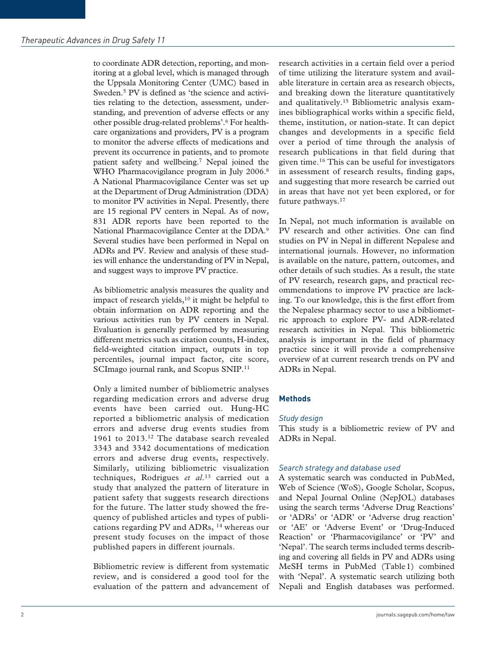to coordinate ADR detection, reporting, and monitoring at a global level, which is managed through the Uppsala Monitoring Center (UMC) based in Sweden.<sup>5</sup> PV is defined as 'the science and activities relating to the detection, assessment, understanding, and prevention of adverse effects or any other possible drug-related problems'.<sup>6</sup> For healthcare organizations and providers, PV is a program to monitor the adverse effects of medications and prevent its occurrence in patients, and to promote patient safety and wellbeing.<sup>7</sup> Nepal joined the WHO Pharmacovigilance program in July 2006.<sup>8</sup> A National Pharmacovigilance Center was set up at the Department of Drug Administration (DDA) to monitor PV activities in Nepal. Presently, there are 15 regional PV centers in Nepal. As of now, 831 ADR reports have been reported to the National Pharmacovigilance Center at the DDA.<sup>9</sup> Several studies have been performed in Nepal on ADRs and PV. Review and analysis of these studies will enhance the understanding of PV in Nepal, and suggest ways to improve PV practice.

As bibliometric analysis measures the quality and impact of research yields,<sup>10</sup> it might be helpful to obtain information on ADR reporting and the various activities run by PV centers in Nepal. Evaluation is generally performed by measuring different metrics such as citation counts, H-index, field-weighted citation impact, outputs in top percentiles, journal impact factor, cite score, SCImago journal rank, and Scopus SNIP.<sup>11</sup>

Only a limited number of bibliometric analyses regarding medication errors and adverse drug events have been carried out. Hung-HC reported a bibliometric analysis of medication errors and adverse drug events studies from 1961 to 2013.<sup>12</sup> The database search revealed 3343 and 3342 documentations of medication errors and adverse drug events, respectively. Similarly, utilizing bibliometric visualization techniques, Rodrigues *et al*. <sup>13</sup> carried out a study that analyzed the pattern of literature in patient safety that suggests research directions for the future. The latter study showed the frequency of published articles and types of publications regarding PV and ADRs, <sup>14</sup> whereas our present study focuses on the impact of those published papers in different journals.

Bibliometric review is different from systematic review, and is considered a good tool for the evaluation of the pattern and advancement of research activities in a certain field over a period of time utilizing the literature system and available literature in certain area as research objects, and breaking down the literature quantitatively and qualitatively.15 Bibliometric analysis examines bibliographical works within a specific field, theme, institution, or nation-state. It can depict changes and developments in a specific field over a period of time through the analysis of research publications in that field during that given time.<sup>16</sup> This can be useful for investigators in assessment of research results, finding gaps, and suggesting that more research be carried out in areas that have not yet been explored, or for future pathways.<sup>17</sup>

In Nepal, not much information is available on PV research and other activities. One can find studies on PV in Nepal in different Nepalese and international journals. However, no information is available on the nature, pattern, outcomes, and other details of such studies. As a result, the state of PV research, research gaps, and practical recommendations to improve PV practice are lacking. To our knowledge, this is the first effort from the Nepalese pharmacy sector to use a bibliometric approach to explore PV- and ADR-related research activities in Nepal. This bibliometric analysis is important in the field of pharmacy practice since it will provide a comprehensive overview of at current research trends on PV and ADRs in Nepal.

#### **Methods**

#### *Study design*

This study is a bibliometric review of PV and ADRs in Nepal.

#### *Search strategy and database used*

A systematic search was conducted in PubMed, Web of Science (WoS), Google Scholar, Scopus, and Nepal Journal Online (NepJOL) databases using the search terms 'Adverse Drug Reactions' or 'ADRs' or 'ADR' or 'Adverse drug reaction' or 'AE' or 'Adverse Event' or 'Drug-Induced Reaction' or 'Pharmacovigilance' or 'PV' and 'Nepal'. The search terms included terms describing and covering all fields in PV and ADRs using MeSH terms in PubMed (Table 1) combined with 'Nepal'. A systematic search utilizing both Nepali and English databases was performed.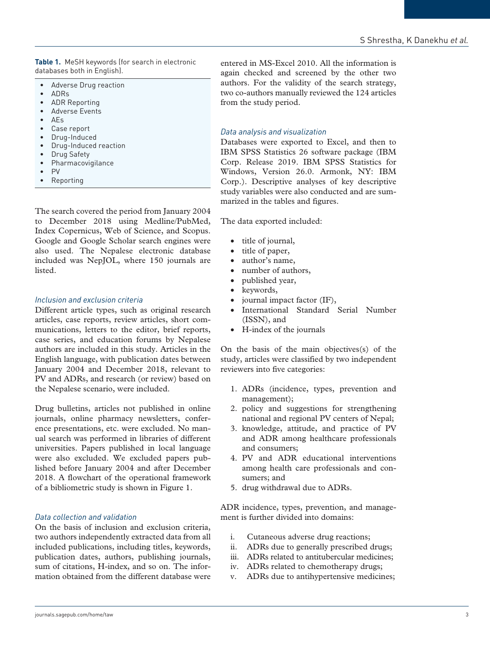**Table 1.** MeSH keywords (for search in electronic databases both in English).

- Adverse Drug reaction
- ADRs
- ADR Reporting
- Adverse Events
- AEs
- Case report
- Drug-Induced
- Drug-Induced reaction
- Drug Safety
- Pharmacovigilance
- PV
- Reporting

The search covered the period from January 2004 to December 2018 using Medline/PubMed, Index Copernicus, Web of Science, and Scopus. Google and Google Scholar search engines were also used. The Nepalese electronic database included was NepJOL, where 150 journals are listed.

# *Inclusion and exclusion criteria*

Different article types, such as original research articles, case reports, review articles, short communications, letters to the editor, brief reports, case series, and education forums by Nepalese authors are included in this study. Articles in the English language, with publication dates between January 2004 and December 2018, relevant to PV and ADRs, and research (or review) based on the Nepalese scenario, were included.

Drug bulletins, articles not published in online journals, online pharmacy newsletters, conference presentations, etc. were excluded. No manual search was performed in libraries of different universities. Papers published in local language were also excluded. We excluded papers published before January 2004 and after December 2018. A flowchart of the operational framework of a bibliometric study is shown in Figure 1.

# *Data collection and validation*

On the basis of inclusion and exclusion criteria, two authors independently extracted data from all included publications, including titles, keywords, publication dates, authors, publishing journals, sum of citations, H-index, and so on. The information obtained from the different database were

entered in MS-Excel 2010. All the information is again checked and screened by the other two authors. For the validity of the search strategy, two co-authors manually reviewed the 124 articles from the study period.

# *Data analysis and visualization*

Databases were exported to Excel, and then to IBM SPSS Statistics 26 software package (IBM Corp. Release 2019. IBM SPSS Statistics for Windows, Version 26.0. Armonk, NY: IBM Corp.). Descriptive analyses of key descriptive study variables were also conducted and are summarized in the tables and figures.

The data exported included:

- title of journal,
- title of paper,
- author's name,
- number of authors,
- published year,
- keywords,
- journal impact factor (IF),
- International Standard Serial Number (ISSN), and
- H-index of the journals

On the basis of the main objectives(s) of the study, articles were classified by two independent reviewers into five categories:

- 1. ADRs (incidence, types, prevention and management);
- 2. policy and suggestions for strengthening national and regional PV centers of Nepal;
- 3. knowledge, attitude, and practice of PV and ADR among healthcare professionals and consumers;
- 4. PV and ADR educational interventions among health care professionals and consumers; and
- 5. drug withdrawal due to ADRs.

ADR incidence, types, prevention, and management is further divided into domains:

- i. Cutaneous adverse drug reactions;
- ii. ADRs due to generally prescribed drugs;
- iii. ADRs related to antitubercular medicines;
- iv. ADRs related to chemotherapy drugs;
- v. ADRs due to antihypertensive medicines;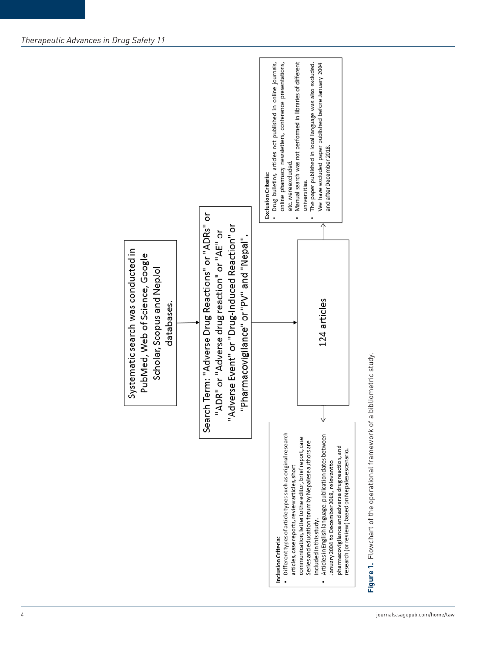

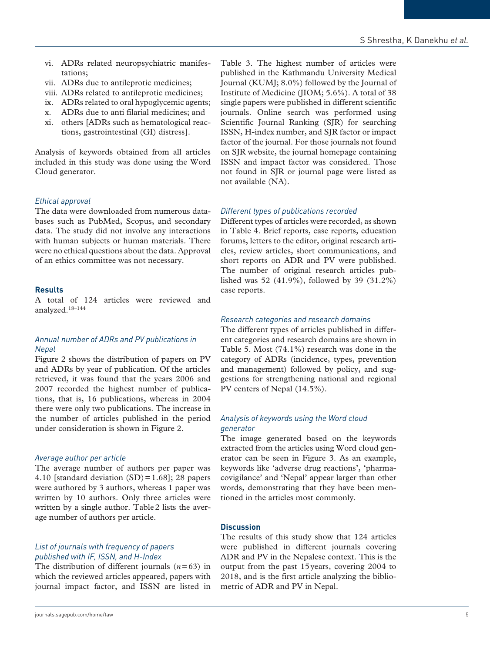- vi. ADRs related neuropsychiatric manifestations;
- vii. ADRs due to antileprotic medicines;
- viii. ADRs related to antileprotic medicines;
- ix. ADRs related to oral hypoglycemic agents;
- x. ADRs due to anti filarial medicines; and
- xi. others [ADRs such as hematological reactions, gastrointestinal (GI) distress].

Analysis of keywords obtained from all articles included in this study was done using the Word Cloud generator.

# *Ethical approval*

The data were downloaded from numerous databases such as PubMed, Scopus, and secondary data. The study did not involve any interactions with human subjects or human materials. There were no ethical questions about the data. Approval of an ethics committee was not necessary.

#### **Results**

A total of 124 articles were reviewed and analyzed.18–144

#### *Annual number of ADRs and PV publications in Nepal*

Figure 2 shows the distribution of papers on PV and ADRs by year of publication. Of the articles retrieved, it was found that the years 2006 and 2007 recorded the highest number of publications, that is, 16 publications, whereas in 2004 there were only two publications. The increase in the number of articles published in the period under consideration is shown in Figure 2.

#### *Average author per article*

The average number of authors per paper was 4.10 [standard deviation  $(SD) = 1.68$ ]; 28 papers were authored by 3 authors, whereas 1 paper was written by 10 authors. Only three articles were written by a single author. Table 2 lists the average number of authors per article.

#### *List of journals with frequency of papers published with IF, ISSN, and H-Index*

The distribution of different journals  $(n=63)$  in which the reviewed articles appeared, papers with journal impact factor, and ISSN are listed in Table 3. The highest number of articles were published in the Kathmandu University Medical Journal (KUMJ; 8.0%) followed by the Journal of Institute of Medicine (JIOM; 5.6%). A total of 38 single papers were published in different scientific journals. Online search was performed using Scientific Journal Ranking (SJR) for searching ISSN, H-index number, and SJR factor or impact factor of the journal. For those journals not found on SJR website, the journal homepage containing ISSN and impact factor was considered. Those not found in SJR or journal page were listed as not available (NA).

#### *Different types of publications recorded*

Different types of articles were recorded, as shown in Table 4. Brief reports, case reports, education forums, letters to the editor, original research articles, review articles, short communications, and short reports on ADR and PV were published. The number of original research articles published was 52 (41.9%), followed by 39 (31.2%) case reports.

#### *Research categories and research domains*

The different types of articles published in different categories and research domains are shown in Table 5. Most (74.1%) research was done in the category of ADRs (incidence, types, prevention and management) followed by policy, and suggestions for strengthening national and regional PV centers of Nepal (14.5%).

#### *Analysis of keywords using the Word cloud generator*

The image generated based on the keywords extracted from the articles using Word cloud generator can be seen in Figure 3. As an example, keywords like 'adverse drug reactions', 'pharmacovigilance' and 'Nepal' appear larger than other words, demonstrating that they have been mentioned in the articles most commonly.

#### **Discussion**

The results of this study show that 124 articles were published in different journals covering ADR and PV in the Nepalese context. This is the output from the past 15 years, covering 2004 to 2018, and is the first article analyzing the bibliometric of ADR and PV in Nepal.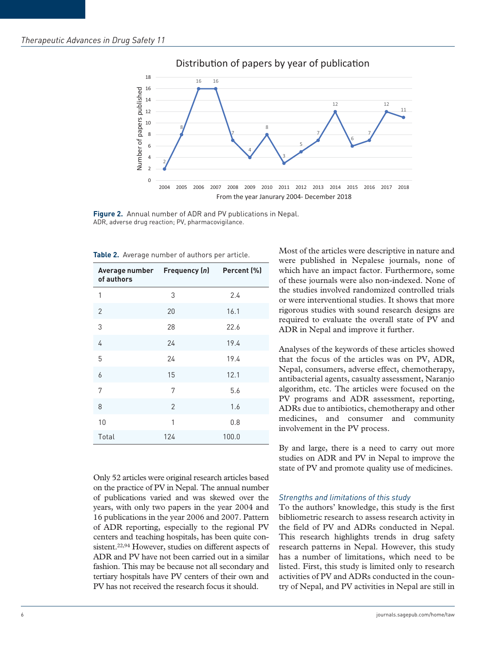

Distribution of papers by year of publication

**Figure 2.** Annual number of ADR and PV publications in Nepal. ADR, adverse drug reaction; PV, pharmacovigilance.

| Average number Frequency (n)<br>of authors |                | Percent (%) |
|--------------------------------------------|----------------|-------------|
| 1                                          | 3              | 2.4         |
| 2                                          | 20             | 16.1        |
| 3                                          | 28             | 22.6        |
| 4                                          | 24             | 19.4        |
| 5                                          | 24             | 19.4        |
| 6                                          | 15             | 12.1        |
| 7                                          | 7              | 5.6         |
| 8                                          | $\overline{2}$ | 1.6         |
| 10                                         | 1              | 0.8         |
| Total                                      | 124            | 100.0       |

**Table 2.** Average number of authors per article.

Only 52 articles were original research articles based on the practice of PV in Nepal. The annual number of publications varied and was skewed over the years, with only two papers in the year 2004 and 16 publications in the year 2006 and 2007. Pattern of ADR reporting, especially to the regional PV centers and teaching hospitals, has been quite consistent.<sup>22,94</sup> However, studies on different aspects of ADR and PV have not been carried out in a similar fashion. This may be because not all secondary and tertiary hospitals have PV centers of their own and PV has not received the research focus it should.

Most of the articles were descriptive in nature and were published in Nepalese journals, none of which have an impact factor. Furthermore, some of these journals were also non-indexed. None of the studies involved randomized controlled trials or were interventional studies. It shows that more rigorous studies with sound research designs are required to evaluate the overall state of PV and ADR in Nepal and improve it further.

Analyses of the keywords of these articles showed that the focus of the articles was on PV, ADR, Nepal, consumers, adverse effect, chemotherapy, antibacterial agents, casualty assessment, Naranjo algorithm, etc. The articles were focused on the PV programs and ADR assessment, reporting, ADRs due to antibiotics, chemotherapy and other medicines, and consumer and community involvement in the PV process.

By and large, there is a need to carry out more studies on ADR and PV in Nepal to improve the state of PV and promote quality use of medicines.

#### *Strengths and limitations of this study*

To the authors' knowledge, this study is the first bibliometric research to assess research activity in the field of PV and ADRs conducted in Nepal. This research highlights trends in drug safety research patterns in Nepal. However, this study has a number of limitations, which need to be listed. First, this study is limited only to research activities of PV and ADRs conducted in the country of Nepal, and PV activities in Nepal are still in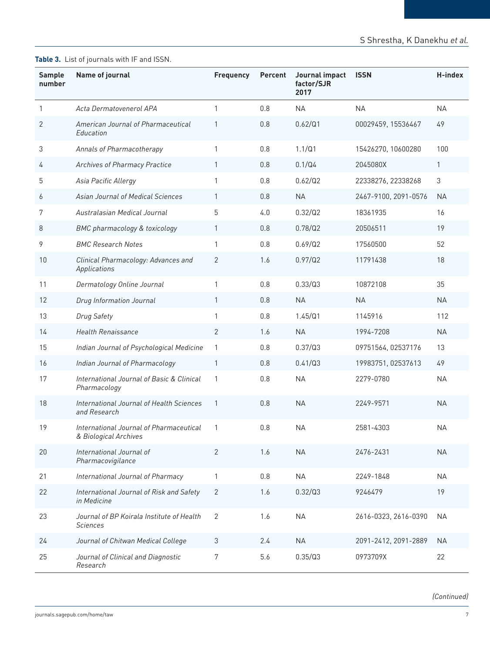# **Table 3.** List of journals with IF and ISSN.

| Sample<br>number | Name of journal                                                  | <b>Frequency</b> | <b>Percent</b> | Journal impact<br>factor/SJR<br>2017 | <b>ISSN</b>          | H-index   |
|------------------|------------------------------------------------------------------|------------------|----------------|--------------------------------------|----------------------|-----------|
| $\mathbf{1}$     | Acta Dermatovenerol APA                                          | 1                | 0.8            | <b>NA</b>                            | <b>NA</b>            | <b>NA</b> |
| 2                | American Journal of Pharmaceutical<br>Education                  | 1                | 0.8            | 0.62/Q1                              | 00029459, 15536467   | 49        |
| 3                | Annals of Pharmacotherapy                                        | $\mathbf{1}$     | 0.8            | 1.1/Q1                               | 15426270, 10600280   | 100       |
| 4                | Archives of Pharmacy Practice                                    | $\mathbf{1}$     | 0.8            | 0.1/Q4                               | 2045080X             | 1         |
| 5                | Asia Pacific Allergy                                             | 1                | 0.8            | 0.62/Q2                              | 22338276, 22338268   | 3         |
| 6                | <b>Asian Journal of Medical Sciences</b>                         | $\mathbf{1}$     | 0.8            | <b>NA</b>                            | 2467-9100, 2091-0576 | <b>NA</b> |
| 7                | Australasian Medical Journal                                     | 5                | 4.0            | 0.32/Q2                              | 18361935             | 16        |
| 8                | <b>BMC</b> pharmacology & toxicology                             | 1                | 0.8            | 0.78/Q2                              | 20506511             | 19        |
| 9                | <b>BMC Research Notes</b>                                        | 1                | 0.8            | 0.69/Q2                              | 17560500             | 52        |
| 10               | Clinical Pharmacology: Advances and<br>Applications              | 2                | 1.6            | 0.97/Q2                              | 11791438             | 18        |
| 11               | Dermatology Online Journal                                       | 1                | 0.8            | 0.33/Q3                              | 10872108             | 35        |
| 12               | Drug Information Journal                                         | $\mathbf{1}$     | 0.8            | <b>NA</b>                            | <b>NA</b>            | <b>NA</b> |
| 13               | <b>Drug Safety</b>                                               | 1                | 0.8            | 1.45/Q1                              | 1145916              | 112       |
| 14               | <b>Health Renaissance</b>                                        | $\overline{2}$   | 1.6            | <b>NA</b>                            | 1994-7208            | <b>NA</b> |
| 15               | Indian Journal of Psychological Medicine                         | 1                | 0.8            | 0.37/Q3                              | 09751564, 02537176   | 13        |
| 16               | Indian Journal of Pharmacology                                   | $\mathbf{1}$     | 0.8            | 0.41/Q3                              | 19983751, 02537613   | 49        |
| 17               | International Journal of Basic & Clinical<br>Pharmacology        | 1                | 0.8            | <b>NA</b>                            | 2279-0780            | <b>NA</b> |
| 18               | International Journal of Health Sciences<br>and Research         | 1                | 0.8            | <b>NA</b>                            | 2249-9571            | <b>NA</b> |
| 19               | International Journal of Pharmaceutical<br>& Biological Archives | 1                | 0.8            | <b>NA</b>                            | 2581-4303            | <b>NA</b> |
| 20               | International Journal of<br>Pharmacovigilance                    | 2                | 1.6            | <b>NA</b>                            | 2476-2431            | <b>NA</b> |
| 21               | International Journal of Pharmacy                                | 1                | 0.8            | <b>NA</b>                            | 2249-1848            | <b>NA</b> |
| 22               | International Journal of Risk and Safety<br>in Medicine          | $\overline{2}$   | 1.6            | 0.32/Q3                              | 9246479              | 19        |
| 23               | Journal of BP Koirala Institute of Health<br><b>Sciences</b>     | $\mathbf{2}$     | 1.6            | <b>NA</b>                            | 2616-0323, 2616-0390 | <b>NA</b> |
| 24               | Journal of Chitwan Medical College                               | $\mathfrak{Z}$   | 2.4            | <b>NA</b>                            | 2091-2412, 2091-2889 | <b>NA</b> |
| 25               | Journal of Clinical and Diagnostic<br>Research                   | $\boldsymbol{7}$ | 5.6            | 0.35/Q3                              | 0973709X             | 22        |

*(Continued)*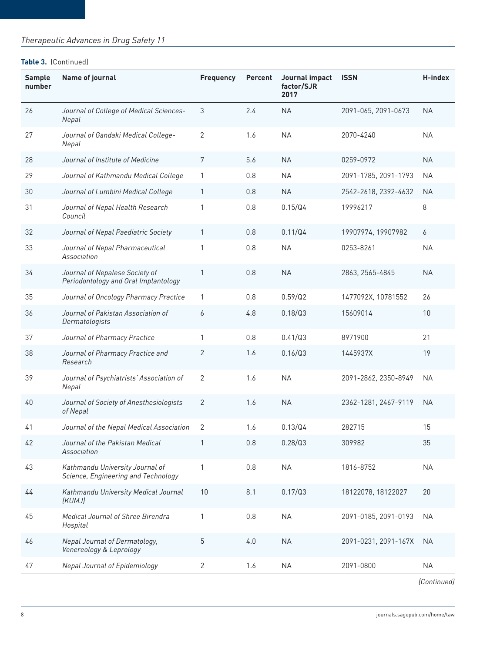# *Therapeutic Advances in Drug Safety 11*

#### **Table 3.** (Continued)

| <b>Sample</b><br>number | Name of journal                                                        | <b>Frequency</b> | Percent | Journal impact<br>factor/SJR<br>2017 | <b>ISSN</b>          | H-index   |
|-------------------------|------------------------------------------------------------------------|------------------|---------|--------------------------------------|----------------------|-----------|
| 26                      | Journal of College of Medical Sciences-<br>Nepal                       | 3                | 2.4     | <b>NA</b>                            | 2091-065, 2091-0673  | <b>NA</b> |
| 27                      | Journal of Gandaki Medical College-<br>Nepal                           | 2                | 1.6     | <b>NA</b>                            | 2070-4240            | <b>NA</b> |
| 28                      | Journal of Institute of Medicine                                       | 7                | 5.6     | <b>NA</b>                            | 0259-0972            | <b>NA</b> |
| 29                      | Journal of Kathmandu Medical College                                   | 1                | 0.8     | <b>NA</b>                            | 2091-1785, 2091-1793 | <b>NA</b> |
| 30                      | Journal of Lumbini Medical College                                     | 1                | 0.8     | <b>NA</b>                            | 2542-2618, 2392-4632 | <b>NA</b> |
| 31                      | Journal of Nepal Health Research<br>Council                            | 1                | 0.8     | 0.15/Q4                              | 19996217             | 8         |
| 32                      | Journal of Nepal Paediatric Society                                    | 1                | 0.8     | 0.11/Q4                              | 19907974, 19907982   | 6         |
| 33                      | Journal of Nepal Pharmaceutical<br>Association                         | 1                | 0.8     | <b>NA</b>                            | 0253-8261            | <b>NA</b> |
| 34                      | Journal of Nepalese Society of<br>Periodontology and Oral Implantology | 1                | 0.8     | <b>NA</b>                            | 2863, 2565-4845      | <b>NA</b> |
| 35                      | Journal of Oncology Pharmacy Practice                                  | 1                | 0.8     | 0.59/Q2                              | 1477092X, 10781552   | 26        |
| 36                      | Journal of Pakistan Association of<br>Dermatologists                   | 6                | 4.8     | 0.18/Q3                              | 15609014             | 10        |
| 37                      | Journal of Pharmacy Practice                                           | 1                | 0.8     | 0.41/Q3                              | 8971900              | 21        |
| 38                      | Journal of Pharmacy Practice and<br>Research                           | 2                | 1.6     | 0.16/Q3                              | 1445937X             | 19        |
| 39                      | Journal of Psychiatrists' Association of<br>Nepal                      | 2                | 1.6     | <b>NA</b>                            | 2091-2862, 2350-8949 | <b>NA</b> |
| 40                      | Journal of Society of Anesthesiologists<br>of Nepal                    | 2                | 1.6     | <b>NA</b>                            | 2362-1281, 2467-9119 | <b>NA</b> |
| 41                      | Journal of the Nepal Medical Association                               | 2                | 1.6     | 0.13/Q4                              | 282715               | 15        |
| 42                      | Journal of the Pakistan Medical<br>Association                         | 1                | 0.8     | 0.28/Q3                              | 309982               | 35        |
| 43                      | Kathmandu University Journal of<br>Science, Engineering and Technology | 1                | 0.8     | <b>NA</b>                            | 1816-8752            | <b>NA</b> |
| 44                      | Kathmandu University Medical Journal<br>(KUMJ)                         | 10               | 8.1     | 0.17/Q3                              | 18122078, 18122027   | 20        |
| 45                      | Medical Journal of Shree Birendra<br>Hospital                          | 1                | 0.8     | <b>NA</b>                            | 2091-0185, 2091-0193 | <b>NA</b> |
| 46                      | Nepal Journal of Dermatology,<br>Venereology & Leprology               | 5                | 4.0     | <b>NA</b>                            | 2091-0231, 2091-167X | <b>NA</b> |
| 47                      | <b>Nepal Journal of Epidemiology</b>                                   | 2                | 1.6     | <b>NA</b>                            | 2091-0800            | <b>NA</b> |

*(Continued)*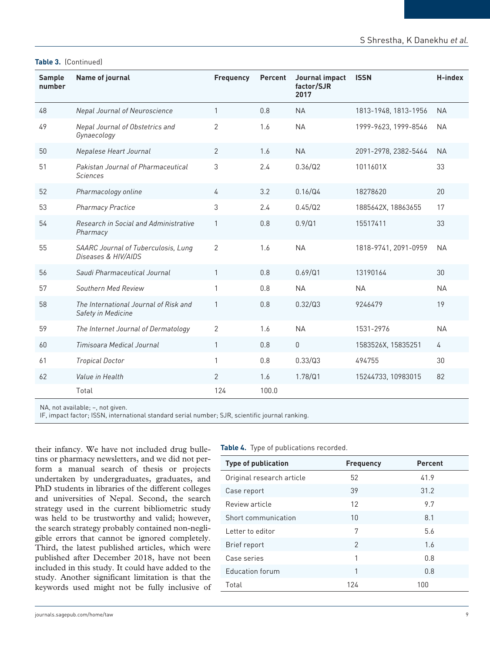## **Table 3.** (Continued)

| Sample<br>number | Name of journal                                             | <b>Frequency</b> | <b>Percent</b> | Journal impact<br>factor/SJR<br>2017 | <b>ISSN</b>          | H-index   |
|------------------|-------------------------------------------------------------|------------------|----------------|--------------------------------------|----------------------|-----------|
| 48               | <b>Nepal Journal of Neuroscience</b>                        | $\mathbf{1}$     | 0.8            | <b>NA</b>                            | 1813-1948, 1813-1956 | <b>NA</b> |
| 49               | Nepal Journal of Obstetrics and<br>Gynaecology              | $\overline{2}$   | 1.6            | <b>NA</b>                            | 1999-9623, 1999-8546 | <b>NA</b> |
| 50               | Nepalese Heart Journal                                      | 2                | 1.6            | <b>NA</b>                            | 2091-2978, 2382-5464 | <b>NA</b> |
| 51               | Pakistan Journal of Pharmaceutical<br><b>Sciences</b>       | 3                | 2.4            | 0.36/Q2                              | 1011601X             | 33        |
| 52               | Pharmacology online                                         | 4                | 3.2            | 0.16/Q4                              | 18278620             | 20        |
| 53               | <b>Pharmacy Practice</b>                                    | 3                | 2.4            | 0.45/Q2                              | 1885642X, 18863655   | 17        |
| 54               | Research in Social and Administrative<br>Pharmacy           | $\mathbf{1}$     | 0.8            | 0.9/Q1                               | 15517411             | 33        |
| 55               | SAARC Journal of Tuberculosis, Lung<br>Diseases & HIV/AIDS  | $\overline{2}$   | 1.6            | <b>NA</b>                            | 1818-9741, 2091-0959 | <b>NA</b> |
| 56               | Saudi Pharmaceutical Journal                                | $\mathbf{1}$     | 0.8            | 0.69/Q1                              | 13190164             | 30        |
| 57               | <b>Southern Med Review</b>                                  | 1                | 0.8            | <b>NA</b>                            | <b>NA</b>            | <b>NA</b> |
| 58               | The International Journal of Risk and<br>Safety in Medicine | $\mathbf{1}$     | 0.8            | 0.32/Q3                              | 9246479              | 19        |
| 59               | The Internet Journal of Dermatology                         | $\overline{2}$   | 1.6            | <b>NA</b>                            | 1531-2976            | <b>NA</b> |
| 60               | Timisoara Medical Journal                                   | $\mathbf{1}$     | 0.8            | $\mathsf 0$                          | 1583526X, 15835251   | 4         |
| 61               | <b>Tropical Doctor</b>                                      | 1                | 0.8            | 0.33/Q3                              | 494755               | 30        |
| 62               | Value in Health                                             | 2                | 1.6            | 1.78/Q1                              | 15244733, 10983015   | 82        |
|                  | Total                                                       | 124              | 100.0          |                                      |                      |           |

NA, not available; –, not given.

IF, impact factor; ISSN, international standard serial number; SJR, scientific journal ranking.

their infancy. We have not included drug bulletins or pharmacy newsletters, and we did not perform a manual search of thesis or projects undertaken by undergraduates, graduates, and PhD students in libraries of the different colleges and universities of Nepal. Second, the search strategy used in the current bibliometric study was held to be trustworthy and valid; however, the search strategy probably contained non-negligible errors that cannot be ignored completely. Third, the latest published articles, which were published after December 2018, have not been included in this study. It could have added to the study. Another significant limitation is that the keywords used might not be fully inclusive of

|  | Table 4. Type of publications recorded. |  |
|--|-----------------------------------------|--|
|  |                                         |  |

| <b>Type of publication</b> | <b>Frequency</b> | <b>Percent</b> |
|----------------------------|------------------|----------------|
| Original research article  | 52               | 41.9           |
| Case report                | 39               | 31.2           |
| Review article             | 12               | 9.7            |
| Short communication        | 10               | 8.1            |
| Letter to editor           | 7                | 5.6            |
| Brief report               | $\mathfrak{D}$   | 1.6            |
| Case series                | 1                | 0.8            |
| <b>Education forum</b>     | 1                | 0.8            |
| Total                      | 124              | 100            |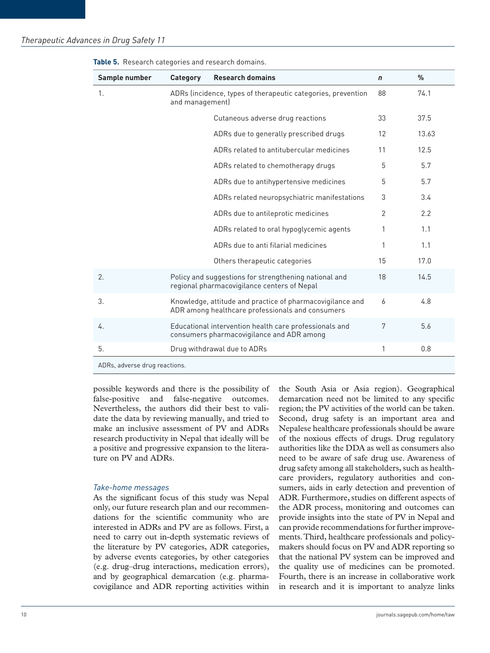| Sample number                 | Category                                                                        | <b>Research domains</b>                                                                                       | $\mathbf n$ | $\%$  |  |
|-------------------------------|---------------------------------------------------------------------------------|---------------------------------------------------------------------------------------------------------------|-------------|-------|--|
| 1.                            | ADRs (incidence, types of therapeutic categories, prevention<br>and management) |                                                                                                               | 88          | 74.1  |  |
|                               |                                                                                 | Cutaneous adverse drug reactions                                                                              | 33          | 37.5  |  |
|                               |                                                                                 | ADRs due to generally prescribed drugs                                                                        | 12          | 13.63 |  |
|                               |                                                                                 | ADRs related to antitubercular medicines                                                                      | 11          | 12.5  |  |
|                               |                                                                                 | ADRs related to chemotherapy drugs                                                                            | 5           | 5.7   |  |
|                               |                                                                                 | ADRs due to antihypertensive medicines                                                                        | 5           | 5.7   |  |
|                               |                                                                                 | ADRs related neuropsychiatric manifestations                                                                  | 3           | 3.4   |  |
|                               |                                                                                 | ADRs due to antileprotic medicines                                                                            | 2           | 2.2   |  |
|                               |                                                                                 | ADRs related to oral hypoglycemic agents                                                                      | 1           | 1.1   |  |
|                               |                                                                                 | ADRs due to anti filarial medicines                                                                           | 1           | 1.1   |  |
|                               |                                                                                 | Others therapeutic categories                                                                                 | 15          | 17.0  |  |
| 2.                            |                                                                                 | Policy and suggestions for strengthening national and<br>regional pharmacovigilance centers of Nepal          | 18          | 14.5  |  |
| 3.                            |                                                                                 | Knowledge, attitude and practice of pharmacovigilance and<br>ADR among healthcare professionals and consumers | 6           | 4.8   |  |
| 4.                            |                                                                                 | Educational intervention health care professionals and<br>consumers pharmacovigilance and ADR among           | 7           | 5.6   |  |
| 5.                            |                                                                                 | Drug withdrawal due to ADRs                                                                                   | 1           | 0.8   |  |
| ADRs. adverse drug reactions. |                                                                                 |                                                                                                               |             |       |  |

**Table 5.** Research categories and research domains.

ADRs, adverse drug reactions.

possible keywords and there is the possibility of false-positive and false-negative outcomes. Nevertheless, the authors did their best to validate the data by reviewing manually, and tried to make an inclusive assessment of PV and ADRs research productivity in Nepal that ideally will be a positive and progressive expansion to the literature on PV and ADRs.

#### *Take-home messages*

As the significant focus of this study was Nepal only, our future research plan and our recommendations for the scientific community who are interested in ADRs and PV are as follows. First, a need to carry out in-depth systematic reviews of the literature by PV categories, ADR categories, by adverse events categories, by other categories (e.g. drug–drug interactions, medication errors), and by geographical demarcation (e.g. pharmacovigilance and ADR reporting activities within the South Asia or Asia region). Geographical demarcation need not be limited to any specific region; the PV activities of the world can be taken. Second, drug safety is an important area and Nepalese healthcare professionals should be aware of the noxious effects of drugs. Drug regulatory authorities like the DDA as well as consumers also need to be aware of safe drug use. Awareness of drug safety among all stakeholders, such as healthcare providers, regulatory authorities and consumers, aids in early detection and prevention of ADR. Furthermore, studies on different aspects of the ADR process, monitoring and outcomes can provide insights into the state of PV in Nepal and can provide recommendations for further improvements. Third, healthcare professionals and policymakers should focus on PV and ADR reporting so that the national PV system can be improved and the quality use of medicines can be promoted. Fourth, there is an increase in collaborative work in research and it is important to analyze links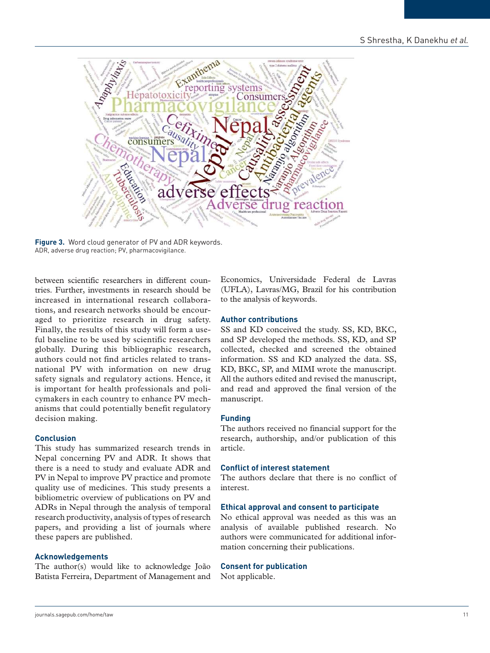

**Figure 3.** Word cloud generator of PV and ADR keywords. ADR, adverse drug reaction; PV, pharmacovigilance.

between scientific researchers in different countries. Further, investments in research should be increased in international research collaborations, and research networks should be encouraged to prioritize research in drug safety. Finally, the results of this study will form a useful baseline to be used by scientific researchers globally. During this bibliographic research, authors could not find articles related to transnational PV with information on new drug safety signals and regulatory actions. Hence, it is important for health professionals and policymakers in each country to enhance PV mechanisms that could potentially benefit regulatory decision making.

#### **Conclusion**

This study has summarized research trends in Nepal concerning PV and ADR. It shows that there is a need to study and evaluate ADR and PV in Nepal to improve PV practice and promote quality use of medicines. This study presents a bibliometric overview of publications on PV and ADRs in Nepal through the analysis of temporal research productivity, analysis of types of research papers, and providing a list of journals where these papers are published.

#### **Acknowledgements**

The author(s) would like to acknowledge João Batista Ferreira, Department of Management and Economics, Universidade Federal de Lavras (UFLA), Lavras/MG, Brazil for his contribution to the analysis of keywords.

#### **Author contributions**

SS and KD conceived the study. SS, KD, BKC, and SP developed the methods. SS, KD, and SP collected, checked and screened the obtained information. SS and KD analyzed the data. SS, KD, BKC, SP, and MIMI wrote the manuscript. All the authors edited and revised the manuscript, and read and approved the final version of the manuscript.

#### **Funding**

The authors received no financial support for the research, authorship, and/or publication of this article.

## **Conflict of interest statement**

The authors declare that there is no conflict of interest.

#### **Ethical approval and consent to participate**

No ethical approval was needed as this was an analysis of available published research. No authors were communicated for additional information concerning their publications.

## **Consent for publication**

Not applicable.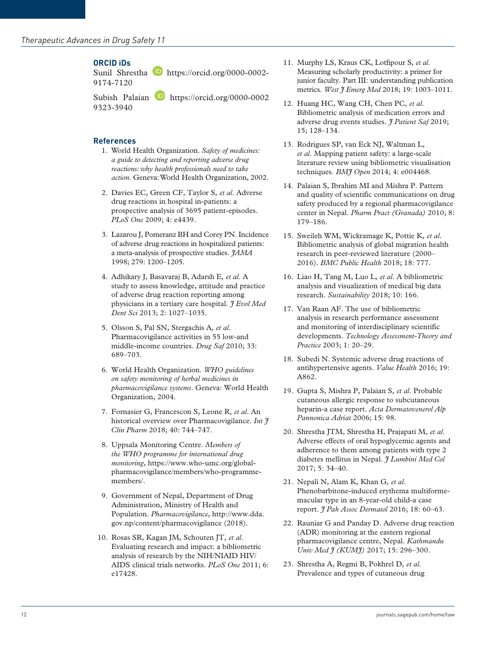# **ORCID iDs**

Sunil Shrestha **h**ttps://orcid.org/0000-0002-9174-7120

Subish Palaian https://orcid.org/0000-0002 9323-3940

# **References**

- 1. World Health Organization. *Safety of medicines: a guide to detecting and reporting adverse drug reactions: why health professionals need to take action*. Geneva: World Health Organization, 2002.
- 2. Davies EC, Green CF, Taylor S*, et al*. Adverse drug reactions in hospital in-patients: a prospective analysis of 3695 patient-episodes. *PLoS One* 2009; 4: e4439.
- 3. Lazarou J, Pomeranz BH and Corey PN. Incidence of adverse drug reactions in hospitalized patients: a meta-analysis of prospective studies. *JAMA* 1998; 279: 1200–1205.
- 4. Adhikary J, Basavaraj B, Adarsh E*, et al*. A study to assess knowledge, attitude and practice of adverse drug reaction reporting among physicians in a tertiary care hospital. *J Evol Med Dent Sci* 2013; 2: 1027–1035.
- 5. Olsson S, Pal SN, Stergachis A*, et al*. Pharmacovigilance activities in 55 low-and middle-income countries. *Drug Saf* 2010; 33: 689–703.
- 6. World Health Organization. *WHO guidelines on safety monitoring of herbal medicines in pharmacovigilance systems*. Geneva: World Health Organization, 2004.
- 7. Fornasier G, Francescon S, Leone R*, et al*. An historical overview over Pharmacovigilance. *Int J Clin Pharm* 2018; 40: 744–747.
- 8. Uppsala Monitoring Centre. *Members of the WHO programme for international drug monitoring*, https://www.who-umc.org/globalpharmacovigilance/members/who-programmemembers/.
- 9. Government of Nepal, Department of Drug Administration, Ministry of Health and Population. *Pharmacovigilance*, http://www.dda. gov.np/content/pharmacovigilance (2018).
- 10. Rosas SR, Kagan JM, Schouten JT*, et al*. Evaluating research and impact: a bibliometric analysis of research by the NIH/NIAID HIV/ AIDS clinical trials networks. *PLoS One* 2011; 6: e17428.
- 11. Murphy LS, Kraus CK, Lotfipour S*, et al*. Measuring scholarly productivity: a primer for junior faculty. Part III: understanding publication metrics. *West J Emerg Med* 2018; 19: 1003–1011.
- 12. Huang HC, Wang CH, Chen PC*, et al*. Bibliometric analysis of medication errors and adverse drug events studies. *J Patient Saf* 2019; 15; 128–134.
- 13. Rodrigues SP, van Eck NJ, Waltman L*, et al*. Mapping patient safety: a large-scale literature review using bibliometric visualisation techniques. *BMJ Open* 2014; 4: e004468.
- 14. Palaian S, Ibrahim MI and Mishra P. Pattern and quality of scientific communications on drug safety produced by a regional pharmacovigilance center in Nepal. *Pharm Pract (Granada)* 2010; 8: 179–186.
- 15. Sweileh WM, Wickramage K, Pottie K*, et al*. Bibliometric analysis of global migration health research in peer-reviewed literature (2000– 2016). *BMC Public Health* 2018; 18: 777.
- 16. Liao H, Tang M, Luo L*, et al*. A bibliometric analysis and visualization of medical big data research. *Sustainability* 2018; 10: 166.
- 17. Van Raan AF. The use of bibliometric analysis in research performance assessment and monitoring of interdisciplinary scientific developments. *Technology Assessment-Theory and Practice* 2003; 1: 20–29.
- 18. Subedi N. Systemic adverse drug reactions of antihypertensive agents. *Value Health* 2016; 19: A862.
- 19. Gupta S, Mishra P, Palaian S*, et al*. Probable cutaneous allergic response to subcutaneous heparin-a case report. *Acta Dermatovenerol Alp Pannonica Adriat* 2006; 15: 98.
- 20. Shrestha JTM, Shrestha H, Prajapati M*, et al*. Adverse effects of oral hypoglycemic agents and adherence to them among patients with type 2 diabetes mellitus in Nepal. *J Lumbini Med Col* 2017; 5: 34–40.
- 21. Nepali N, Alam K, Khan G*, et al*. Phenobarbitone-induced erythema multiformemacular type in an 8-year-old child-a case report. *J Pak Assoc Dermatol* 2016; 18: 60–63.
- 22. Rauniar G and Panday D. Adverse drug reaction (ADR) monitoring at the eastern regional pharmacovigilance centre, Nepal. *Kathmandu Univ Med J (KUMJ)* 2017; 15: 296–300.
- 23. Shrestha A, Regmi B, Pokhrel D*, et al*. Prevalence and types of cutaneous drug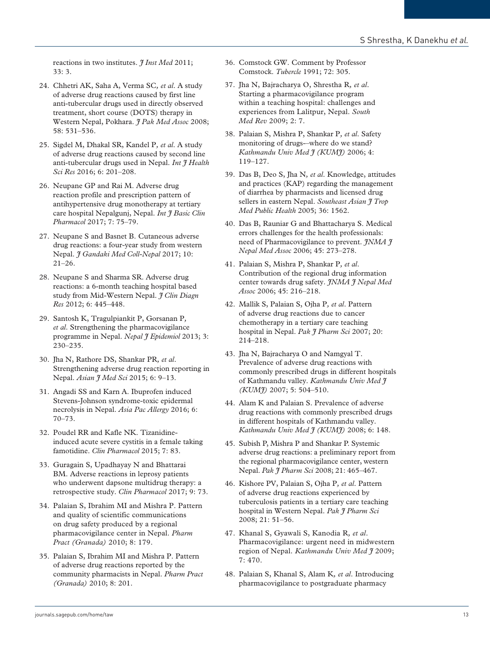reactions in two institutes. *I Inst Med* 2011; 33: 3.

- 24. Chhetri AK, Saha A, Verma SC*, et al*. A study of adverse drug reactions caused by first line anti-tubercular drugs used in directly observed treatment, short course (DOTS) therapy in Western Nepal, Pokhara. *J Pak Med Assoc* 2008; 58: 531–536.
- 25. Sigdel M, Dhakal SR, Kandel P*, et al*. A study of adverse drug reactions caused by second line anti-tubercular drugs used in Nepal. *Int J Health Sci Res* 2016; 6: 201–208.
- 26. Neupane GP and Rai M. Adverse drug reaction profile and prescription pattern of antihypertensive drug monotherapy at tertiary care hospital Nepalgunj, Nepal. *Int J Basic Clin Pharmacol* 2017; 7: 75–79.
- 27. Neupane S and Basnet B. Cutaneous adverse drug reactions: a four-year study from western Nepal. *J Gandaki Med Coll-Nepal* 2017; 10: 21–26.
- 28. Neupane S and Sharma SR. Adverse drug reactions: a 6-month teaching hospital based study from Mid-Western Nepal. *J Clin Diagn Res* 2012; 6: 445–448.
- 29. Santosh K, Tragulpiankit P, Gorsanan P*, et al*. Strengthening the pharmacovigilance programme in Nepal. *Nepal J Epidemiol* 2013; 3: 230–235.
- 30. Jha N, Rathore DS, Shankar PR*, et al*. Strengthening adverse drug reaction reporting in Nepal. *Asian J Med Sci* 2015; 6: 9–13.
- 31. Angadi SS and Karn A. Ibuprofen induced Stevens-Johnson syndrome-toxic epidermal necrolysis in Nepal. *Asia Pac Allergy* 2016; 6: 70–73.
- 32. Poudel RR and Kafle NK. Tizanidineinduced acute severe cystitis in a female taking famotidine. *Clin Pharmacol* 2015; 7: 83.
- 33. Guragain S, Upadhayay N and Bhattarai BM. Adverse reactions in leprosy patients who underwent dapsone multidrug therapy: a retrospective study. *Clin Pharmacol* 2017; 9: 73.
- 34. Palaian S, Ibrahim MI and Mishra P. Pattern and quality of scientific communications on drug safety produced by a regional pharmacovigilance center in Nepal. *Pharm Pract (Granada)* 2010; 8: 179.
- 35. Palaian S, Ibrahim MI and Mishra P. Pattern of adverse drug reactions reported by the community pharmacists in Nepal. *Pharm Pract (Granada)* 2010; 8: 201.
- 36. Comstock GW. Comment by Professor Comstock. *Tubercle* 1991; 72: 305.
- 37. Jha N, Bajracharya O, Shrestha R*, et al*. Starting a pharmacovigilance program within a teaching hospital: challenges and experiences from Lalitpur, Nepal. *South Med Rev* 2009; 2: 7.
- 38. Palaian S, Mishra P, Shankar P*, et al*. Safety monitoring of drugs-–where do we stand? *Kathmandu Univ Med J (KUMJ)* 2006; 4: 119–127.
- 39. Das B, Deo S, Jha N*, et al*. Knowledge, attitudes and practices (KAP) regarding the management of diarrhea by pharmacists and licensed drug sellers in eastern Nepal. *Southeast Asian*  $\tilde{\tau}$  Trop *Med Public Health* 2005; 36: 1562.
- 40. Das B, Rauniar G and Bhattacharya S. Medical errors challenges for the health professionals: need of Pharmacovigilance to prevent. *JNMA J Nepal Med Assoc* 2006; 45: 273–278.
- 41. Palaian S, Mishra P, Shankar P*, et al*. Contribution of the regional drug information center towards drug safety. *JNMA J Nepal Med Assoc* 2006; 45: 216–218.
- 42. Mallik S, Palaian S, Ojha P*, et al*. Pattern of adverse drug reactions due to cancer chemotherapy in a tertiary care teaching hospital in Nepal. *Pak J Pharm Sci* 2007; 20: 214–218.
- 43. Jha N, Bajracharya O and Namgyal T. Prevalence of adverse drug reactions with commonly prescribed drugs in different hospitals of Kathmandu valley. *Kathmandu Univ Med J (KUMJ)* 2007; 5: 504–510.
- 44. Alam K and Palaian S. Prevalence of adverse drug reactions with commonly prescribed drugs in different hospitals of Kathmandu valley. *Kathmandu Univ Med J (KUMJ)* 2008; 6: 148.
- 45. Subish P, Mishra P and Shankar P. Systemic adverse drug reactions: a preliminary report from the regional pharmacovigilance center, western Nepal. *Pak J Pharm Sci* 2008; 21: 465–467.
- 46. Kishore PV, Palaian S, Ojha P*, et al*. Pattern of adverse drug reactions experienced by tuberculosis patients in a tertiary care teaching hospital in Western Nepal. *Pak J Pharm Sci* 2008; 21: 51–56.
- 47. Khanal S, Gyawali S, Kanodia R*, et al*. Pharmacovigilance: urgent need in midwestern region of Nepal. *Kathmandu Univ Med J* 2009; 7: 470.
- 48. Palaian S, Khanal S, Alam K*, et al*. Introducing pharmacovigilance to postgraduate pharmacy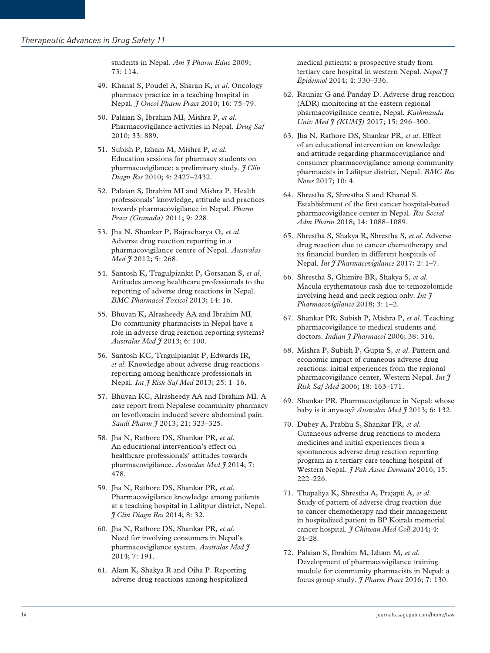students in Nepal. *Am I Pharm Educ* 2009; 73: 114.

- 49. Khanal S, Poudel A, Sharan K*, et al*. Oncology pharmacy practice in a teaching hospital in Nepal. *J Oncol Pharm Pract* 2010; 16: 75–79.
- 50. Palaian S, Ibrahim MI, Mishra P*, et al*. Pharmacovigilance activities in Nepal. *Drug Saf* 2010; 33: 889.
- 51. Subish P, Izham M, Mishra P*, et al*. Education sessions for pharmacy students on pharmacovigilance: a preliminary study. *J Clin Diagn Res* 2010; 4: 2427–2432.
- 52. Palaian S, Ibrahim MI and Mishra P. Health professionals' knowledge, attitude and practices towards pharmacovigilance in Nepal. *Pharm Pract (Granada)* 2011; 9: 228.
- 53. Jha N, Shankar P, Bajracharya O*, et al*. Adverse drug reaction reporting in a pharmacovigilance centre of Nepal. *Australas Med J* 2012; 5: 268.
- 54. Santosh K, Tragulpiankit P, Gorsanan S*, et al*. Attitudes among healthcare professionals to the reporting of adverse drug reactions in Nepal. *BMC Pharmacol Toxicol* 2013; 14: 16.
- 55. Bhuvan K, Alrasheedy AA and Ibrahim MI. Do community pharmacists in Nepal have a role in adverse drug reaction reporting systems? *Australas Med J* 2013; 6: 100.
- 56. Santosh KC, Tragulpiankit P, Edwards IR*, et al*. Knowledge about adverse drug reactions reporting among healthcare professionals in Nepal. *Int J Risk Saf Med* 2013; 25: 1–16.
- 57. Bhuvan KC, Alrasheedy AA and Ibrahim MI. A case report from Nepalese community pharmacy on levofloxacin induced severe abdominal pain. *Saudi Pharm J* 2013; 21: 323–325.
- 58. Jha N, Rathore DS, Shankar PR*, et al*. An educational intervention's effect on healthcare professionals' attitudes towards pharmacovigilance. *Australas Med J* 2014; 7: 478.
- 59. Jha N, Rathore DS, Shankar PR*, et al*. Pharmacovigilance knowledge among patients at a teaching hospital in Lalitpur district, Nepal. *J Clin Diagn Res* 2014; 8: 32.
- 60. Jha N, Rathore DS, Shankar PR*, et al*. Need for involving consumers in Nepal's pharmacovigilance system. *Australas Med J* 2014; 7: 191.
- 61. Alam K, Shakya R and Ojha P. Reporting adverse drug reactions among hospitalized

medical patients: a prospective study from tertiary care hospital in western Nepal. *Nepal J Epidemiol* 2014; 4: 330–336.

- 62. Rauniar G and Panday D. Adverse drug reaction (ADR) monitoring at the eastern regional pharmacovigilance centre, Nepal. *Kathmandu Univ Med J (KUMJ)* 2017; 15: 296–300.
- 63. Jha N, Rathore DS, Shankar PR*, et al*. Effect of an educational intervention on knowledge and attitude regarding pharmacovigilance and consumer pharmacovigilance among community pharmacists in Lalitpur district, Nepal. *BMC Res Notes* 2017; 10: 4.
- 64. Shrestha S, Shrestha S and Khanal S. Establishment of the first cancer hospital-based pharmacovigilance center in Nepal. *Res Social Adm Pharm* 2018; 14: 1088–1089.
- 65. Shrestha S, Shakya R, Shrestha S*, et al*. Adverse drug reaction due to cancer chemotherapy and its financial burden in different hospitals of Nepal. *Int J Pharmacovigilance* 2017; 2: 1–7.
- 66. Shrestha S, Ghimire BR, Shakya S*, et al*. Macula erythematous rash due to temozolomide involving head and neck region only. *Int J Pharmacovigilance* 2018; 3: 1–2.
- 67. Shankar PR, Subish P, Mishra P*, et al*. Teaching pharmacovigilance to medical students and doctors. *Indian J Pharmacol* 2006; 38: 316.
- 68. Mishra P, Subish P, Gupta S*, et al*. Pattern and economic impact of cutaneous adverse drug reactions: initial experiences from the regional pharmacovigilance center, Western Nepal. *Int J Risk Saf Med* 2006; 18: 163–171.
- 69. Shankar PR. Pharmacovigilance in Nepal: whose baby is it anyway? *Australas Med J* 2013; 6: 132.
- 70. Dubey A, Prabhu S, Shankar PR*, et al*. Cutaneous adverse drug reactions to modern medicines and initial experiences from a spontaneous adverse drug reaction reporting program in a tertiary care teaching hospital of Western Nepal. *J Pak Assoc Dermatol* 2016; 15: 222–226.
- 71. Thapaliya K, Shrestha A, Prajapti A*, et al*. Study of pattern of adverse drug reaction due to cancer chemotherapy and their management in hospitalized patient in BP Koirala memorial cancer hospital. *J Chitwan Med Coll* 2014; 4: 24–28.
- 72. Palaian S, Ibrahim M, Izham M*, et al*. Development of pharmacovigilance training module for community pharmacists in Nepal: a focus group study. *J Pharm Pract* 2016; 7: 130.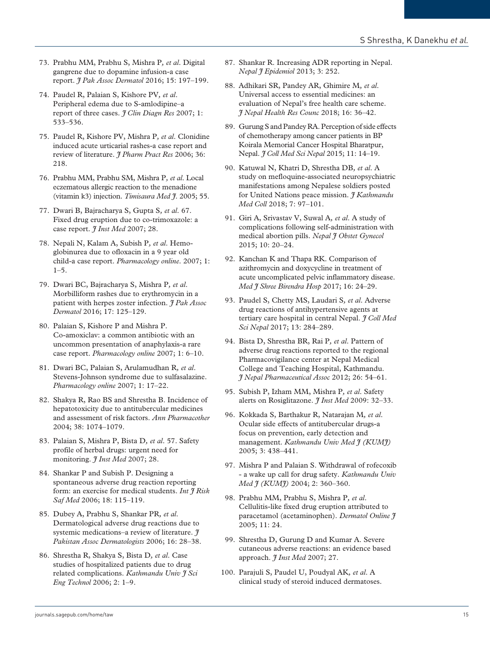- 73. Prabhu MM, Prabhu S, Mishra P*, et al*. Digital gangrene due to dopamine infusion-a case report. *J Pak Assoc Dermatol* 2016; 15: 197–199.
- 74. Paudel R, Palaian S, Kishore PV*, et al*. Peripheral edema due to S-amlodipine–a report of three cases. *J Clin Diagn Res* 2007; 1: 533–536.
- 75. Paudel R, Kishore PV, Mishra P*, et al*. Clonidine induced acute urticarial rashes-a case report and review of literature. *J Pharm Pract Res* 2006; 36: 218.
- 76. Prabhu MM, Prabhu SM, Mishra P*, et al*. Local eczematous allergic reaction to the menadione (vitamin k3) injection. *Timisaura Med J*. 2005; 55.
- 77. Dwari B, Bajracharya S, Gupta S*, et al*. 67. Fixed drug eruption due to co-trimoxazole: a case report. *J Inst Med* 2007; 28.
- 78. Nepali N, Kalam A, Subish P*, et al*. Hemoglobinurea due to ofloxacin in a 9 year old child-a case report. *Pharmacology online*. 2007; 1: 1–5.
- 79. Dwari BC, Bajracharya S, Mishra P*, et al*. Morbilliform rashes due to erythromycin in a patient with herpes zoster infection. *J Pak Assoc Dermatol* 2016; 17: 125–129.
- 80. Palaian S, Kishore P and Mishra P. Co-amoxiclav: a common antibiotic with an uncommon presentation of anaphylaxis-a rare case report. *Pharmacology online* 2007; 1: 6–10.
- 81. Dwari BC, Palaian S, Arulamudhan R*, et al*. Stevens-Johnson syndrome due to sulfasalazine. *Pharmacology online* 2007; 1: 17–22.
- 82. Shakya R, Rao BS and Shrestha B. Incidence of hepatotoxicity due to antitubercular medicines and assessment of risk factors. *Ann Pharmacother* 2004; 38: 1074–1079.
- 83. Palaian S, Mishra P, Bista D*, et al*. 57. Safety profile of herbal drugs: urgent need for monitoring. *J Inst Med* 2007; 28.
- 84. Shankar P and Subish P. Designing a spontaneous adverse drug reaction reporting form: an exercise for medical students. *Int J Risk Saf Med* 2006; 18: 115–119.
- 85. Dubey A, Prabhu S, Shankar PR*, et al*. Dermatological adverse drug reactions due to systemic medications–a review of literature. *J Pakistan Assoc Dermatologists* 2006; 16: 28–38.
- 86. Shrestha R, Shakya S, Bista D*, et al*. Case studies of hospitalized patients due to drug related complications. *Kathmandu Univ J Sci Eng Technol* 2006; 2: 1–9.
- 87. Shankar R. Increasing ADR reporting in Nepal. *Nepal J Epidemiol* 2013; 3: 252.
- 88. Adhikari SR, Pandey AR, Ghimire M*, et al*. Universal access to essential medicines: an evaluation of Nepal's free health care scheme. *J Nepal Health Res Counc* 2018; 16: 36–42.
- 89. Gurung S and Pandey RA. Perception of side effects of chemotherapy among cancer patients in BP Koirala Memorial Cancer Hospital Bharatpur, Nepal. *J Coll Med Sci Nepal* 2015; 11: 14–19.
- 90. Katuwal N, Khatri D, Shrestha DB*, et al*. A study on mefloquine-associated neuropsychiatric manifestations among Nepalese soldiers posted for United Nations peace mission. *J Kathmandu Med Coll* 2018; 7: 97–101.
- 91. Giri A, Srivastav V, Suwal A*, et al*. A study of complications following self-administration with medical abortion pills. *Nepal J Obstet Gynecol* 2015; 10: 20–24.
- 92. Kanchan K and Thapa RK. Comparison of azithromycin and doxycycline in treatment of acute uncomplicated pelvic inflammatory disease. *Med J Shree Birendra Hosp* 2017; 16: 24–29.
- 93. Paudel S, Chetty MS, Laudari S*, et al*. Adverse drug reactions of antihypertensive agents at tertiary care hospital in central Nepal. *J Coll Med Sci Nepal* 2017; 13: 284–289.
- 94. Bista D, Shrestha BR, Rai P*, et al*. Pattern of adverse drug reactions reported to the regional Pharmacovigilance center at Nepal Medical College and Teaching Hospital, Kathmandu. *J Nepal Pharmaceutical Assoc* 2012; 26: 54–61.
- 95. Subish P, Izham MM, Mishra P*, et al*. Safety alerts on Rosiglitazone. *J Inst Med* 2009: 32–33.
- 96. Kokkada S, Barthakur R, Natarajan M*, et al*. Ocular side effects of antitubercular drugs-a focus on prevention, early detection and management. *Kathmandu Univ Med J (KUMJ)* 2005; 3: 438–441.
- 97. Mishra P and Palaian S. Withdrawal of rofecoxib - a wake up call for drug safety. *Kathmandu Univ Med J (KUMJ)* 2004; 2: 360–360.
- 98. Prabhu MM, Prabhu S, Mishra P*, et al*. Cellulitis-like fixed drug eruption attributed to paracetamol (acetaminophen). *Dermatol Online J* 2005; 11: 24.
- 99. Shrestha D, Gurung D and Kumar A. Severe cutaneous adverse reactions: an evidence based approach. *J Inst Med* 2007; 27.
- 100. Parajuli S, Paudel U, Poudyal AK*, et al*. A clinical study of steroid induced dermatoses.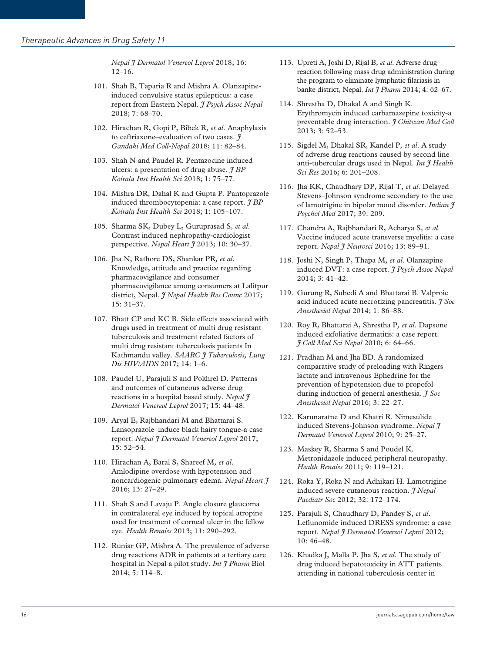*Nepal J Dermatol Venereol Leprol* 2018; 16: 12–16.

- 101. Shah B, Taparia R and Mishra A. Olanzapineinduced convulsive status epilepticus: a case report from Eastern Nepal. *J Psych Assoc Nepal* 2018; 7: 68–70.
- 102. Hirachan R, Gopi P, Bibek R*, et al*. Anaphylaxis to ceftriaxone–evaluation of two cases. *J Gandaki Med Coll-Nepal* 2018; 11: 82–84.
- 103. Shah N and Paudel R. Pentazocine induced ulcers: a presentation of drug abuse. *J BP Koirala Inst Health Sci* 2018; 1: 75–77.
- 104. Mishra DR, Dahal K and Gupta P. Pantoprazole induced thrombocytopenia: a case report. *J BP Koirala Inst Health Sci* 2018; 1: 105–107.
- 105. Sharma SK, Dubey L, Guruprasad S*, et al*. Contrast induced nephropathy-cardiologist perspective. *Nepal Heart J* 2013; 10: 30–37.
- 106. Jha N, Rathore DS, Shankar PR*, et al*. Knowledge, attitude and practice regarding pharmacovigilance and consumer pharmacovigilance among consumers at Lalitpur district, Nepal. *J Nepal Health Res Counc* 2017;  $15:31-37$
- 107. Bhatt CP and KC B. Side effects associated with drugs used in treatment of multi drug resistant tuberculosis and treatment related factors of multi drug resistant tuberculosis patients In Kathmandu valley. *SAARC J Tuberculosis, Lung Dis HIV/AIDS* 2017; 14: 1–6.
- 108. Paudel U, Parajuli S and Pokhrel D. Patterns and outcomes of cutaneous adverse drug reactions in a hospital based study. *Nepal J Dermatol Venereol Leprol* 2017; 15: 44–48.
- 109. Aryal E, Rajbhandari M and Bhattarai S. Lansoprazole–induce black hairy tongue-a case report. *Nepal J Dermatol Venereol Leprol* 2017; 15: 52–54.
- 110. Hirachan A, Baral S, Shareef M*, et al*. Amlodipine overdose with hypotension and noncardiogenic pulmonary edema. *Nepal Heart J* 2016; 13: 27–29.
- 111. Shah S and Lavaju P. Angle closure glaucoma in contralateral eye induced by topical atropine used for treatment of corneal ulcer in the fellow eye. *Health Renaiss* 2013; 11: 290–292.
- 112. Runiar GP, Mishra A. The prevalence of adverse drug reactions ADR in patients at a tertiary care hospital in Nepal a pilot study. *Int J Pharm* Biol 2014; 5: 114–8.
- 113. Upreti A, Joshi D, Rijal B*, et al*. Adverse drug reaction following mass drug administration during the program to eliminate lymphatic filariasis in banke district, Nepal. *Int J Pharm* 2014; 4: 62–67.
- 114. Shrestha D, Dhakal A and Singh K. Erythromycin induced carbamazepine toxicity-a preventable drug interaction. *J Chitwan Med Coll* 2013; 3: 52–53.
- 115. Sigdel M, Dhakal SR, Kandel P*, et al*. A study of adverse drug reactions caused by second line anti-tubercular drugs used in Nepal. *Int J Health Sci Res* 2016; 6: 201–208.
- 116. Jha KK, Chaudhary DP, Rijal T*, et al*. Delayed Stevens–Johnson syndrome secondary to the use of lamotrigine in bipolar mood disorder. *Indian J Psychol Med* 2017; 39: 209.
- 117. Chandra A, Rajbhandari R, Acharya S*, et al*. Vaccine induced acute transverse myelitis: a case report. *Nepal J Neurosci* 2016; 13: 89–91.
- 118. Joshi N, Singh P, Thapa M*, et al*. Olanzapine induced DVT: a case report. *J Psych Assoc Nepal* 2014; 3: 41–42.
- 119. Gurung R, Subedi A and Bhattarai B. Valproic acid induced acute necrotizing pancreatitis. *J Soc Anesthesiol Nepal* 2014; 1: 86–88.
- 120. Roy R, Bhattarai A, Shrestha P*, et al*. Dapsone induced exfoliative dermatitis: a case report. *J Coll Med Sci Nepal* 2010; 6: 64–66.
- 121. Pradhan M and Jha BD. A randomized comparative study of preloading with Ringers lactate and intravenous Ephedrine for the prevention of hypotension due to propofol during induction of general anesthesia. *J Soc Anesthesiol Nepal* 2016; 3: 22–27.
- 122. Karunaratne D and Khatri R. Nimesulide induced Stevens-Johnson syndrome. *Nepal J Dermatol Venereol Leprol* 2010; 9: 25–27.
- 123. Maskey R, Sharma S and Poudel K. Metronidazole induced peripheral neuropathy. *Health Renaiss* 2011; 9: 119–121.
- 124. Roka Y, Roka N and Adhikari H. Lamotrigine induced severe cutaneous reaction. *J Nepal Paediatr Soc* 2012; 32: 172–174.
- 125. Parajuli S, Chaudhary D, Pandey S*, et al*. Leflunomide induced DRESS syndrome: a case report. *Nepal J Dermatol Venereol Leprol* 2012; 10: 46–48.
- 126. Khadka J, Malla P, Jha S*, et al*. The study of drug induced hepatotoxicity in ATT patients attending in national tuberculosis center in